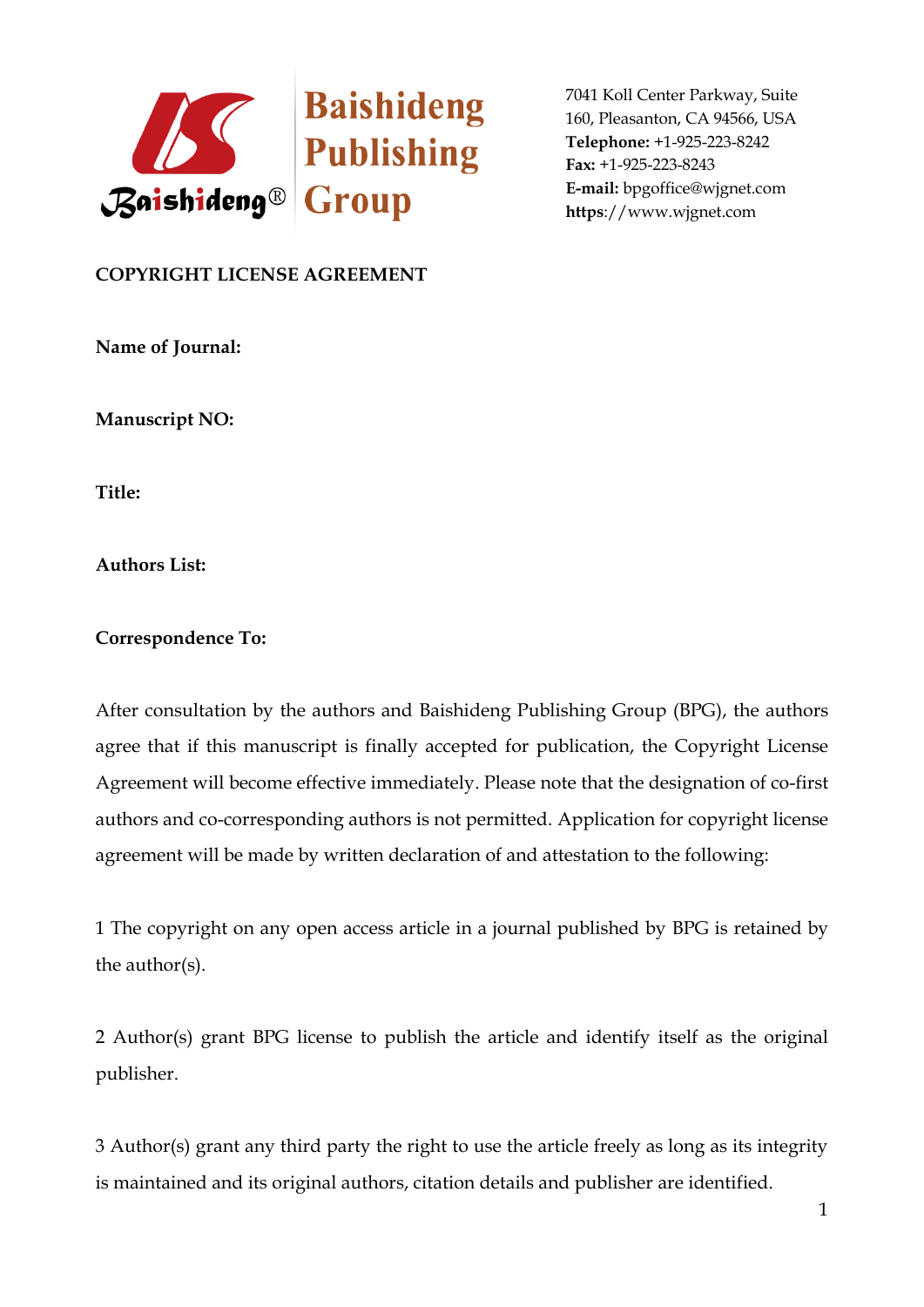

## **COPYRIGHT LICENSE AGREEMENT**

**Name of Journal:** 

**Manuscript NO:** 

**Title:**

**Authors List:** 

## **Correspondence To:**

After consultation by the authors and Baishideng Publishing Group (BPG), the authors agree that if this manuscript is finally accepted for publication, the Copyright License Agreement will become effective immediately. Please note that the designation of co-first authors and co-corresponding authors is not permitted. Application for copyright license agreement will be made by written declaration of and attestation to the following:

1 The copyright on any open access article in a journal published by BPG is retained by the author(s).

2 Author(s) grant BPG license to publish the article and identify itself as the original publisher.

3 Author(s) grant any third party the right to use the article freely as long as its integrity is maintained and its original authors, citation details and publisher are identified.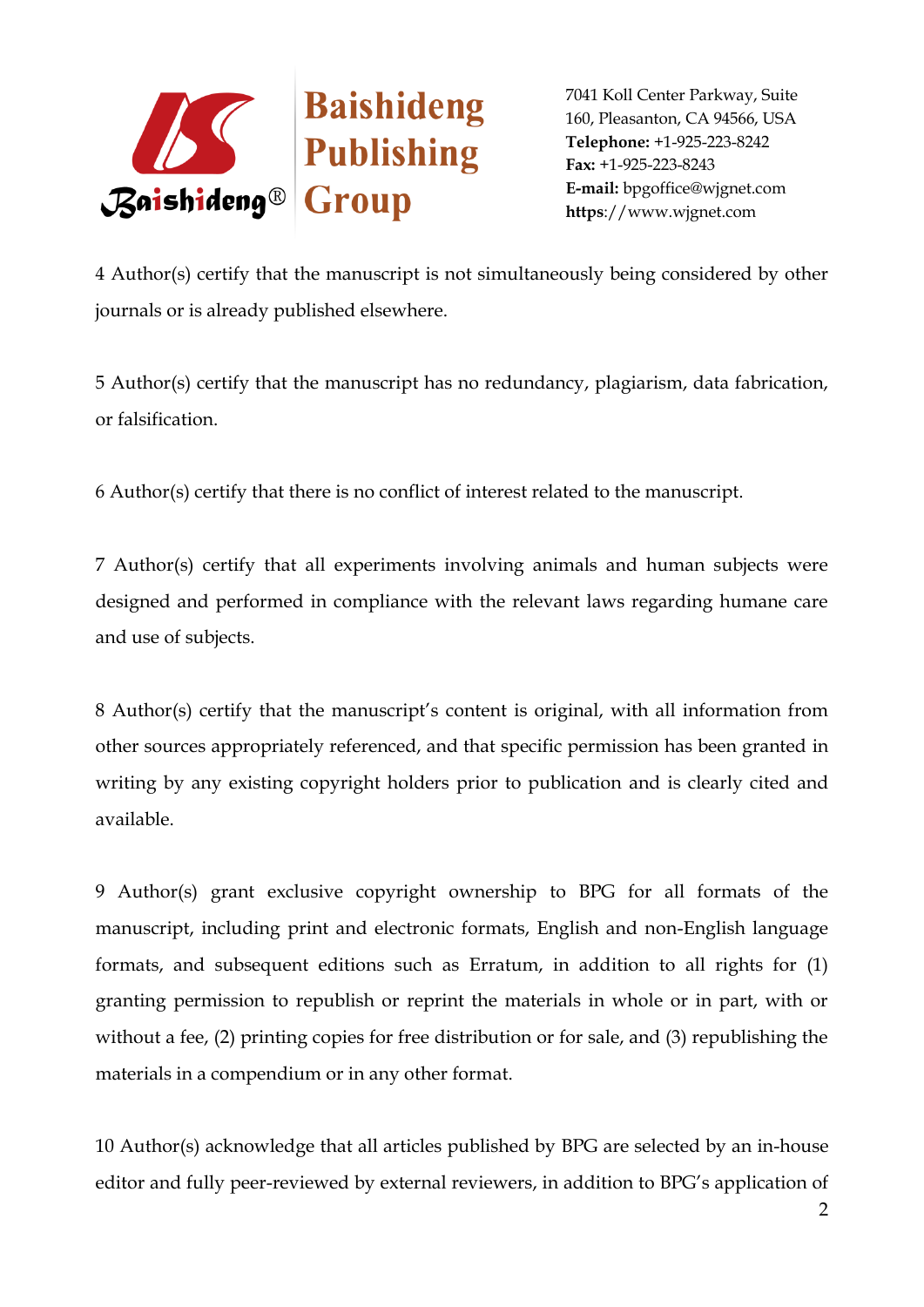

4 Author(s) certify that the manuscript is not simultaneously being considered by other journals or is already published elsewhere.

5 Author(s) certify that the manuscript has no redundancy, plagiarism, data fabrication, or falsification.

6 Author(s) certify that there is no conflict of interest related to the manuscript.

7 Author(s) certify that all experiments involving animals and human subjects were designed and performed in compliance with the relevant laws regarding humane care and use of subjects.

8 Author(s) certify that the manuscript's content is original, with all information from other sources appropriately referenced, and that specific permission has been granted in writing by any existing copyright holders prior to publication and is clearly cited and available.

9 Author(s) grant exclusive copyright ownership to BPG for all formats of the manuscript, including print and electronic formats, English and non-English language formats, and subsequent editions such as Erratum, in addition to all rights for (1) granting permission to republish or reprint the materials in whole or in part, with or without a fee, (2) printing copies for free distribution or for sale, and (3) republishing the materials in a compendium or in any other format.

10 Author(s) acknowledge that all articles published by BPG are selected by an in-house editor and fully peer-reviewed by external reviewers, in addition to BPG's application of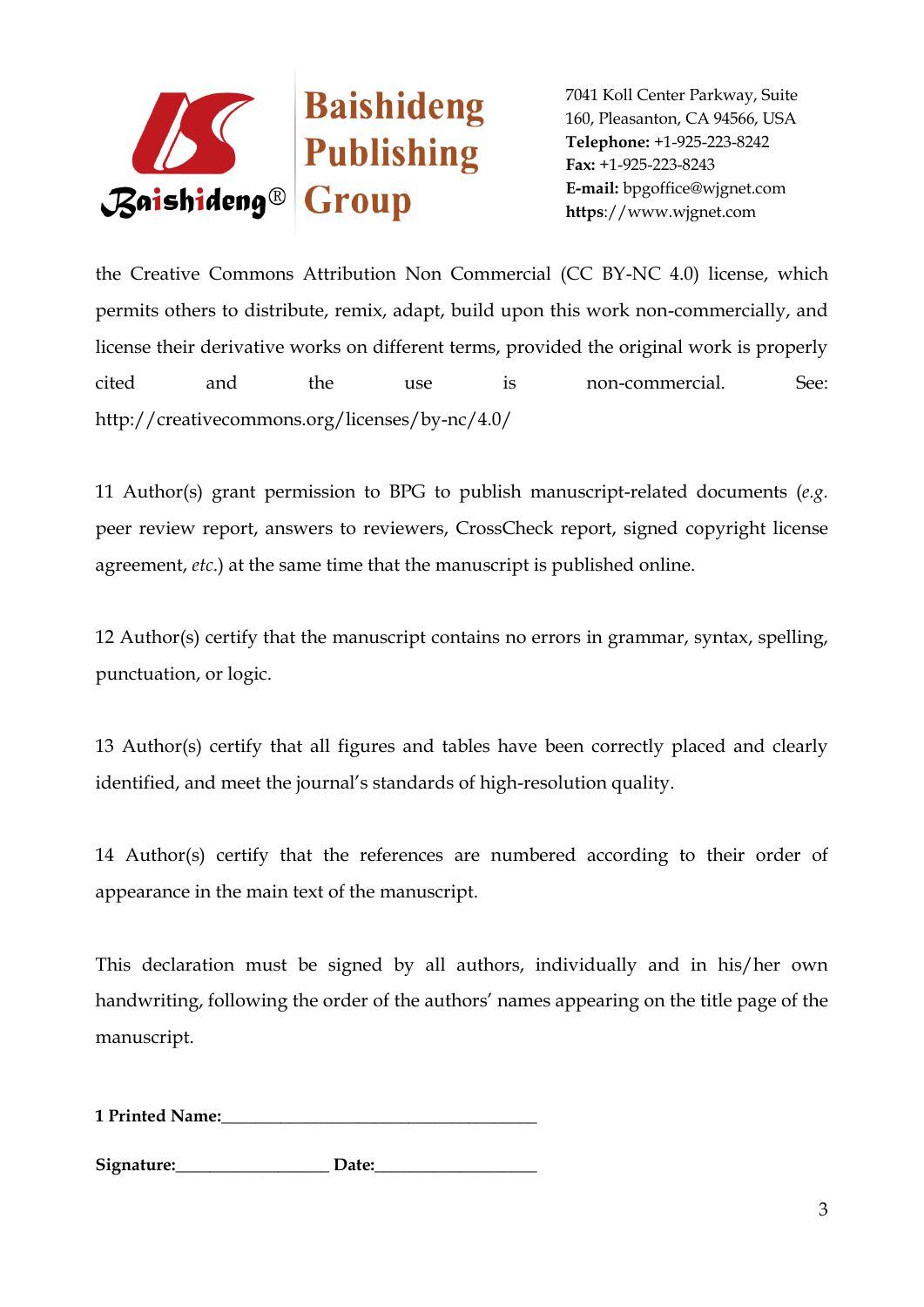

the Creative Commons Attribution Non Commercial (CC BY-NC 4.0) license, which permits others to distribute, remix, adapt, build upon this work non-commercially, and license their derivative works on different terms, provided the original work is properly cited and the use is non-commercial. See: http://creativecommons.org/licenses/by-nc/4.0/

11 Author(s) grant permission to BPG to publish manuscript-related documents (*e.g.* peer review report, answers to reviewers, CrossCheck report, signed copyright license agreement, *etc*.) at the same time that the manuscript is published online.

12 Author(s) certify that the manuscript contains no errors in grammar, syntax, spelling, punctuation, or logic.

13 Author(s) certify that all figures and tables have been correctly placed and clearly identified, and meet the journal's standards of high-resolution quality.

14 Author(s) certify that the references are numbered according to their order of appearance in the main text of the manuscript.

This declaration must be signed by all authors, individually and in his/her own handwriting, following the order of the authors' names appearing on the title page of the manuscript.

**1 Printed Name:** 

Signature: Date: